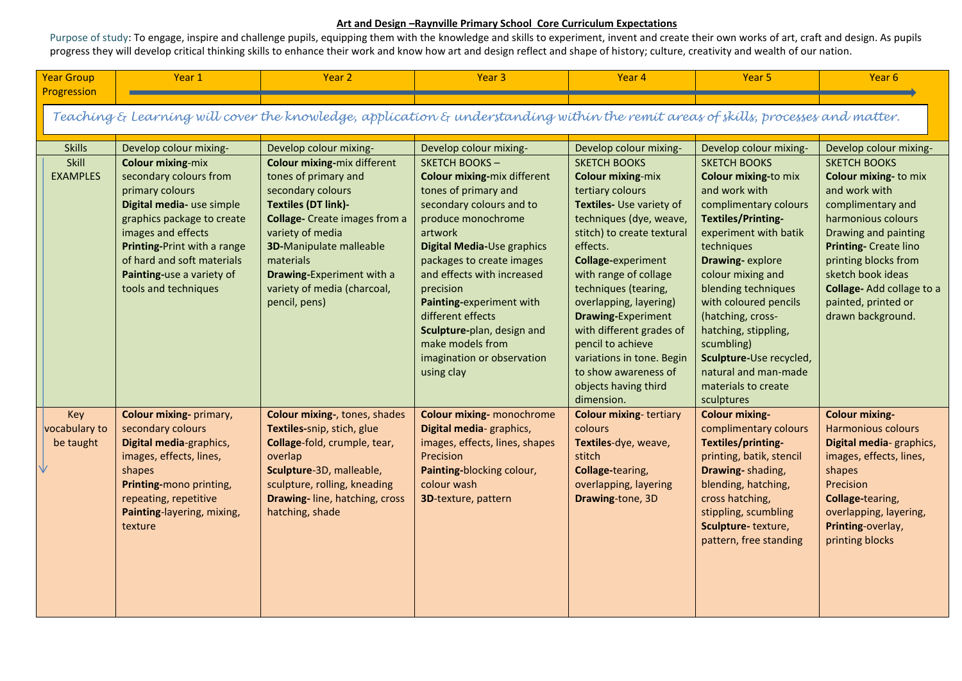## **Art and Design –Raynville Primary School Core Curriculum Expectations**

Purpose of study: To engage, inspire and challenge pupils, equipping them with the knowledge and skills to experiment, invent and create their own works of art, craft and design. As pupils progress they will develop critical thinking skills to enhance their work and know how art and design reflect and shape of history; culture, creativity and wealth of our nation.

| <b>Year Group</b>                                                                                                                 | Year 1                                                                                                                                                                                                                                                                   | Year 2                                                                                                                                                                                                                                                                                                       | Year 3                                                                                                                                                                                                                                                                                                                                                                                               | Year 4                                                                                                                                                                                                                                                                                                                                                                                                                                         | Year 5                                                                                                                                                                                                                                                                                                                                                                                                             | Year 6                                                                                                                                                                                                                                                                               |  |
|-----------------------------------------------------------------------------------------------------------------------------------|--------------------------------------------------------------------------------------------------------------------------------------------------------------------------------------------------------------------------------------------------------------------------|--------------------------------------------------------------------------------------------------------------------------------------------------------------------------------------------------------------------------------------------------------------------------------------------------------------|------------------------------------------------------------------------------------------------------------------------------------------------------------------------------------------------------------------------------------------------------------------------------------------------------------------------------------------------------------------------------------------------------|------------------------------------------------------------------------------------------------------------------------------------------------------------------------------------------------------------------------------------------------------------------------------------------------------------------------------------------------------------------------------------------------------------------------------------------------|--------------------------------------------------------------------------------------------------------------------------------------------------------------------------------------------------------------------------------------------------------------------------------------------------------------------------------------------------------------------------------------------------------------------|--------------------------------------------------------------------------------------------------------------------------------------------------------------------------------------------------------------------------------------------------------------------------------------|--|
| Progression                                                                                                                       |                                                                                                                                                                                                                                                                          |                                                                                                                                                                                                                                                                                                              |                                                                                                                                                                                                                                                                                                                                                                                                      |                                                                                                                                                                                                                                                                                                                                                                                                                                                |                                                                                                                                                                                                                                                                                                                                                                                                                    |                                                                                                                                                                                                                                                                                      |  |
| Teaching & Learning will cover the knowledge, application & understanding within the remit areas of skills, processes and matter. |                                                                                                                                                                                                                                                                          |                                                                                                                                                                                                                                                                                                              |                                                                                                                                                                                                                                                                                                                                                                                                      |                                                                                                                                                                                                                                                                                                                                                                                                                                                |                                                                                                                                                                                                                                                                                                                                                                                                                    |                                                                                                                                                                                                                                                                                      |  |
| <b>Skills</b>                                                                                                                     | Develop colour mixing-                                                                                                                                                                                                                                                   | Develop colour mixing-                                                                                                                                                                                                                                                                                       | Develop colour mixing-                                                                                                                                                                                                                                                                                                                                                                               | Develop colour mixing-                                                                                                                                                                                                                                                                                                                                                                                                                         | Develop colour mixing-                                                                                                                                                                                                                                                                                                                                                                                             | Develop colour mixing-                                                                                                                                                                                                                                                               |  |
| Skill<br><b>EXAMPLES</b>                                                                                                          | <b>Colour mixing-mix</b><br>secondary colours from<br>primary colours<br>Digital media- use simple<br>graphics package to create<br>images and effects<br>Printing-Print with a range<br>of hard and soft materials<br>Painting-use a variety of<br>tools and techniques | <b>Colour mixing-mix different</b><br>tones of primary and<br>secondary colours<br><b>Textiles (DT link)-</b><br><b>Collage-</b> Create images from a<br>variety of media<br><b>3D-Manipulate malleable</b><br>materials<br><b>Drawing-Experiment with a</b><br>variety of media (charcoal,<br>pencil, pens) | <b>SKETCH BOOKS-</b><br><b>Colour mixing-mix different</b><br>tones of primary and<br>secondary colours and to<br>produce monochrome<br>artwork<br>Digital Media-Use graphics<br>packages to create images<br>and effects with increased<br>precision<br>Painting-experiment with<br>different effects<br>Sculpture-plan, design and<br>make models from<br>imagination or observation<br>using clay | <b>SKETCH BOOKS</b><br><b>Colour mixing-mix</b><br>tertiary colours<br>Textiles- Use variety of<br>techniques (dye, weave,<br>stitch) to create textural<br>effects.<br>Collage-experiment<br>with range of collage<br>techniques (tearing,<br>overlapping, layering)<br><b>Drawing-Experiment</b><br>with different grades of<br>pencil to achieve<br>variations in tone. Begin<br>to show awareness of<br>objects having third<br>dimension. | <b>SKETCH BOOKS</b><br><b>Colour mixing-to mix</b><br>and work with<br>complimentary colours<br><b>Textiles/Printing-</b><br>experiment with batik<br>techniques<br><b>Drawing-explore</b><br>colour mixing and<br>blending techniques<br>with coloured pencils<br>(hatching, cross-<br>hatching, stippling,<br>scumbling)<br>Sculpture-Use recycled,<br>natural and man-made<br>materials to create<br>sculptures | <b>SKETCH BOOKS</b><br><b>Colour mixing-to mix</b><br>and work with<br>complimentary and<br>harmonious colours<br>Drawing and painting<br>Printing- Create lino<br>printing blocks from<br>sketch book ideas<br>Collage-Add collage to a<br>painted, printed or<br>drawn background. |  |
| Key<br>vocabulary to<br>be taught                                                                                                 | <b>Colour mixing-primary,</b><br>secondary colours<br>Digital media-graphics,<br>images, effects, lines,<br>shapes<br>Printing-mono printing,<br>repeating, repetitive<br>Painting-layering, mixing,<br>texture                                                          | <b>Colour mixing-</b> , tones, shades<br>Textiles-snip, stich, glue<br>Collage-fold, crumple, tear,<br>overlap<br>Sculpture-3D, malleable,<br>sculpture, rolling, kneading<br>Drawing-line, hatching, cross<br>hatching, shade                                                                               | <b>Colour mixing-</b> monochrome<br>Digital media-graphics,<br>images, effects, lines, shapes<br>Precision<br>Painting-blocking colour,<br>colour wash<br>3D-texture, pattern                                                                                                                                                                                                                        | <b>Colour mixing-tertiary</b><br>colours<br>Textiles-dye, weave,<br>stitch<br>Collage-tearing,<br>overlapping, layering<br>Drawing-tone, 3D                                                                                                                                                                                                                                                                                                    | <b>Colour mixing-</b><br>complimentary colours<br>Textiles/printing-<br>printing, batik, stencil<br>Drawing-shading,<br>blending, hatching,<br>cross hatching,<br>stippling, scumbling<br>Sculpture-texture,<br>pattern, free standing                                                                                                                                                                             | <b>Colour mixing-</b><br><b>Harmonious colours</b><br>Digital media-graphics,<br>images, effects, lines,<br>shapes<br>Precision<br>Collage-tearing,<br>overlapping, layering,<br>Printing-overlay,<br>printing blocks                                                                |  |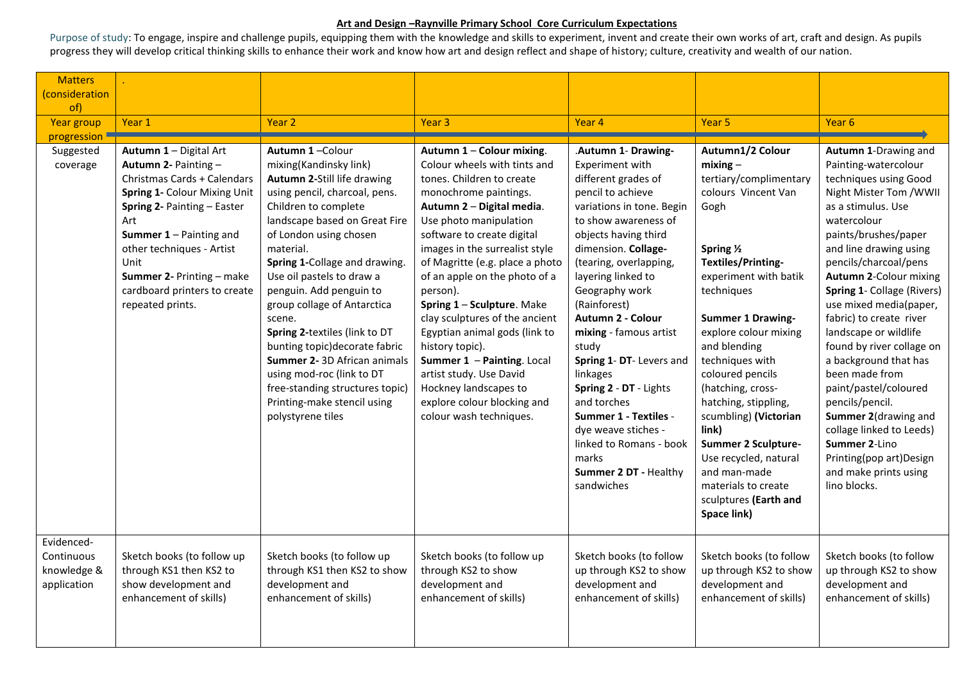## **Art and Design –Raynville Primary School Core Curriculum Expectations**

Purpose of study: To engage, inspire and challenge pupils, equipping them with the knowledge and skills to experiment, invent and create their own works of art, craft and design. As pupils progress they will develop critical thinking skills to enhance their work and know how art and design reflect and shape of history; culture, creativity and wealth of our nation.

| <b>Matters</b>                                         |                                                                                                                                                                                                                                                                                   |                                                                                                                                                                                                                                                                                                                                                                                                                                                                                                                                                |                                                                                                                                                                                                                                                                                                                                                                                                                                                                                                                                                           |                                                                                                                                                                                                                                                                                                                                                                                                                                                                                                                              |                                                                                                                                                                                                                                                                                                                                                                                                                                                                                        |                                                                                                                                                                                                                                                                                                                                                                                                                                                                                                                                                                                            |
|--------------------------------------------------------|-----------------------------------------------------------------------------------------------------------------------------------------------------------------------------------------------------------------------------------------------------------------------------------|------------------------------------------------------------------------------------------------------------------------------------------------------------------------------------------------------------------------------------------------------------------------------------------------------------------------------------------------------------------------------------------------------------------------------------------------------------------------------------------------------------------------------------------------|-----------------------------------------------------------------------------------------------------------------------------------------------------------------------------------------------------------------------------------------------------------------------------------------------------------------------------------------------------------------------------------------------------------------------------------------------------------------------------------------------------------------------------------------------------------|------------------------------------------------------------------------------------------------------------------------------------------------------------------------------------------------------------------------------------------------------------------------------------------------------------------------------------------------------------------------------------------------------------------------------------------------------------------------------------------------------------------------------|----------------------------------------------------------------------------------------------------------------------------------------------------------------------------------------------------------------------------------------------------------------------------------------------------------------------------------------------------------------------------------------------------------------------------------------------------------------------------------------|--------------------------------------------------------------------------------------------------------------------------------------------------------------------------------------------------------------------------------------------------------------------------------------------------------------------------------------------------------------------------------------------------------------------------------------------------------------------------------------------------------------------------------------------------------------------------------------------|
| (consideration                                         |                                                                                                                                                                                                                                                                                   |                                                                                                                                                                                                                                                                                                                                                                                                                                                                                                                                                |                                                                                                                                                                                                                                                                                                                                                                                                                                                                                                                                                           |                                                                                                                                                                                                                                                                                                                                                                                                                                                                                                                              |                                                                                                                                                                                                                                                                                                                                                                                                                                                                                        |                                                                                                                                                                                                                                                                                                                                                                                                                                                                                                                                                                                            |
| of)                                                    |                                                                                                                                                                                                                                                                                   |                                                                                                                                                                                                                                                                                                                                                                                                                                                                                                                                                |                                                                                                                                                                                                                                                                                                                                                                                                                                                                                                                                                           |                                                                                                                                                                                                                                                                                                                                                                                                                                                                                                                              |                                                                                                                                                                                                                                                                                                                                                                                                                                                                                        |                                                                                                                                                                                                                                                                                                                                                                                                                                                                                                                                                                                            |
| Year group                                             | Year 1                                                                                                                                                                                                                                                                            | Year <sub>2</sub>                                                                                                                                                                                                                                                                                                                                                                                                                                                                                                                              | Year <sub>3</sub>                                                                                                                                                                                                                                                                                                                                                                                                                                                                                                                                         | Year 4                                                                                                                                                                                                                                                                                                                                                                                                                                                                                                                       | Year 5                                                                                                                                                                                                                                                                                                                                                                                                                                                                                 | Year 6                                                                                                                                                                                                                                                                                                                                                                                                                                                                                                                                                                                     |
| progression -<br>Suggested                             | Autumn 1 - Digital Art                                                                                                                                                                                                                                                            | Autumn 1-Colour                                                                                                                                                                                                                                                                                                                                                                                                                                                                                                                                | Autumn 1 - Colour mixing.                                                                                                                                                                                                                                                                                                                                                                                                                                                                                                                                 | .Autumn 1- Drawing-                                                                                                                                                                                                                                                                                                                                                                                                                                                                                                          | Autumn1/2 Colour                                                                                                                                                                                                                                                                                                                                                                                                                                                                       | Autumn 1-Drawing and                                                                                                                                                                                                                                                                                                                                                                                                                                                                                                                                                                       |
| coverage                                               | Autumn 2- Painting -<br>Christmas Cards + Calendars<br>Spring 1- Colour Mixing Unit<br>Spring 2- Painting - Easter<br>Art<br><b>Summer 1</b> – Painting and<br>other techniques - Artist<br>Unit<br>Summer 2- Printing - make<br>cardboard printers to create<br>repeated prints. | mixing(Kandinsky link)<br>Autumn 2-Still life drawing<br>using pencil, charcoal, pens.<br>Children to complete<br>landscape based on Great Fire<br>of London using chosen<br>material.<br>Spring 1-Collage and drawing.<br>Use oil pastels to draw a<br>penguin. Add penguin to<br>group collage of Antarctica<br>scene.<br>Spring 2-textiles (link to DT<br>bunting topic) decorate fabric<br>Summer 2-3D African animals<br>using mod-roc (link to DT<br>free-standing structures topic)<br>Printing-make stencil using<br>polystyrene tiles | Colour wheels with tints and<br>tones. Children to create<br>monochrome paintings.<br>Autumn 2 - Digital media.<br>Use photo manipulation<br>software to create digital<br>images in the surrealist style<br>of Magritte (e.g. place a photo<br>of an apple on the photo of a<br>person).<br>Spring 1 - Sculpture. Make<br>clay sculptures of the ancient<br>Egyptian animal gods (link to<br>history topic).<br>Summer 1 - Painting. Local<br>artist study. Use David<br>Hockney landscapes to<br>explore colour blocking and<br>colour wash techniques. | Experiment with<br>different grades of<br>pencil to achieve<br>variations in tone. Begin<br>to show awareness of<br>objects having third<br>dimension. Collage-<br>(tearing, overlapping,<br>layering linked to<br>Geography work<br>(Rainforest)<br>Autumn 2 - Colour<br>mixing - famous artist<br>study<br>Spring 1- DT- Levers and<br>linkages<br>Spring 2 - DT - Lights<br>and torches<br><b>Summer 1 - Textiles -</b><br>dye weave stiches -<br>linked to Romans - book<br>marks<br>Summer 2 DT - Healthy<br>sandwiches | $mixing -$<br>tertiary/complimentary<br>colours Vincent Van<br>Gogh<br>Spring 1/2<br><b>Textiles/Printing-</b><br>experiment with batik<br>techniques<br><b>Summer 1 Drawing-</b><br>explore colour mixing<br>and blending<br>techniques with<br>coloured pencils<br>(hatching, cross-<br>hatching, stippling,<br>scumbling) (Victorian<br>link)<br><b>Summer 2 Sculpture-</b><br>Use recycled, natural<br>and man-made<br>materials to create<br>sculptures (Earth and<br>Space link) | Painting-watercolour<br>techniques using Good<br>Night Mister Tom /WWII<br>as a stimulus. Use<br>watercolour<br>paints/brushes/paper<br>and line drawing using<br>pencils/charcoal/pens<br>Autumn 2-Colour mixing<br>Spring 1- Collage (Rivers)<br>use mixed media(paper,<br>fabric) to create river<br>landscape or wildlife<br>found by river collage on<br>a background that has<br>been made from<br>paint/pastel/coloured<br>pencils/pencil.<br>Summer 2(drawing and<br>collage linked to Leeds)<br>Summer 2-Lino<br>Printing(pop art)Design<br>and make prints using<br>lino blocks. |
| Evidenced-<br>Continuous<br>knowledge &<br>application | Sketch books (to follow up<br>through KS1 then KS2 to<br>show development and<br>enhancement of skills)                                                                                                                                                                           | Sketch books (to follow up<br>through KS1 then KS2 to show<br>development and<br>enhancement of skills)                                                                                                                                                                                                                                                                                                                                                                                                                                        | Sketch books (to follow up<br>through KS2 to show<br>development and<br>enhancement of skills)                                                                                                                                                                                                                                                                                                                                                                                                                                                            | Sketch books (to follow<br>up through KS2 to show<br>development and<br>enhancement of skills)                                                                                                                                                                                                                                                                                                                                                                                                                               | Sketch books (to follow<br>up through KS2 to show<br>development and<br>enhancement of skills)                                                                                                                                                                                                                                                                                                                                                                                         | Sketch books (to follow<br>up through KS2 to show<br>development and<br>enhancement of skills)                                                                                                                                                                                                                                                                                                                                                                                                                                                                                             |